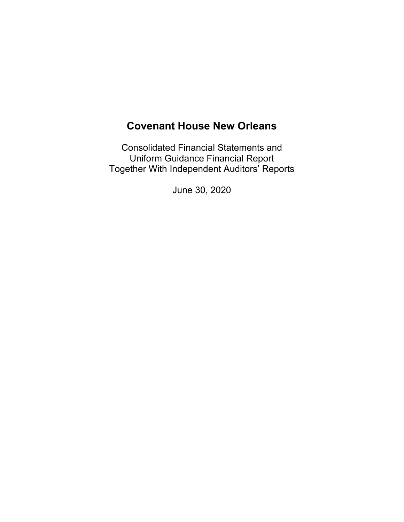Consolidated Financial Statements and Uniform Guidance Financial Report Together With Independent Auditors' Reports

June 30, 2020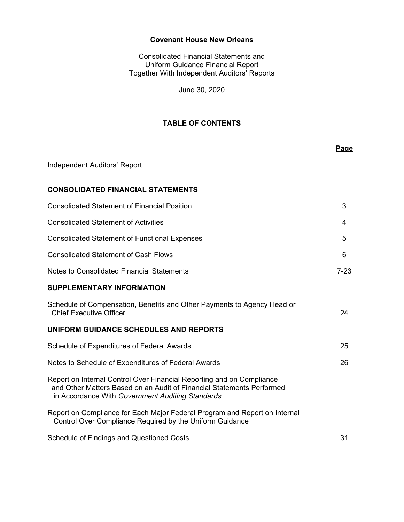Consolidated Financial Statements and Uniform Guidance Financial Report Together With Independent Auditors' Reports

June 30, 2020

# **TABLE OF CONTENTS**

|                                                                                                                                                                                                    | <b>Page</b> |
|----------------------------------------------------------------------------------------------------------------------------------------------------------------------------------------------------|-------------|
| <b>Independent Auditors' Report</b>                                                                                                                                                                |             |
| <b>CONSOLIDATED FINANCIAL STATEMENTS</b>                                                                                                                                                           |             |
| <b>Consolidated Statement of Financial Position</b>                                                                                                                                                | 3           |
| <b>Consolidated Statement of Activities</b>                                                                                                                                                        | 4           |
| <b>Consolidated Statement of Functional Expenses</b>                                                                                                                                               | 5           |
| <b>Consolidated Statement of Cash Flows</b>                                                                                                                                                        | 6           |
| Notes to Consolidated Financial Statements                                                                                                                                                         | $7-23$      |
| <b>SUPPLEMENTARY INFORMATION</b>                                                                                                                                                                   |             |
| Schedule of Compensation, Benefits and Other Payments to Agency Head or<br><b>Chief Executive Officer</b>                                                                                          | 24          |
| UNIFORM GUIDANCE SCHEDULES AND REPORTS                                                                                                                                                             |             |
| Schedule of Expenditures of Federal Awards                                                                                                                                                         | 25          |
| Notes to Schedule of Expenditures of Federal Awards                                                                                                                                                | 26          |
| Report on Internal Control Over Financial Reporting and on Compliance<br>and Other Matters Based on an Audit of Financial Statements Performed<br>in Accordance With Government Auditing Standards |             |
| Report on Compliance for Each Major Federal Program and Report on Internal<br>Control Over Compliance Required by the Uniform Guidance                                                             |             |
| <b>Schedule of Findings and Questioned Costs</b>                                                                                                                                                   | 31          |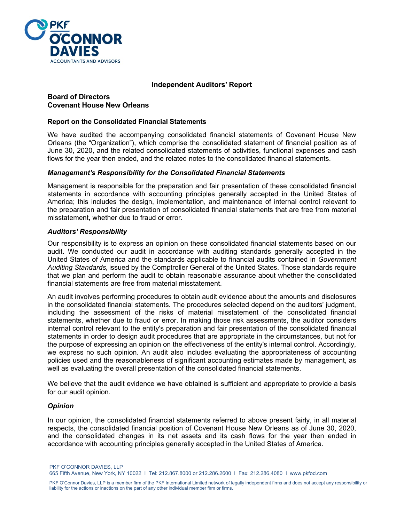

## **Independent Auditors' Report**

## **Board of Directors Covenant House New Orleans**

#### **Report on the Consolidated Financial Statements**

We have audited the accompanying consolidated financial statements of Covenant House New Orleans (the "Organization"), which comprise the consolidated statement of financial position as of June 30, 2020, and the related consolidated statements of activities, functional expenses and cash flows for the year then ended, and the related notes to the consolidated financial statements.

#### *Management's Responsibility for the Consolidated Financial Statements*

Management is responsible for the preparation and fair presentation of these consolidated financial statements in accordance with accounting principles generally accepted in the United States of America; this includes the design, implementation, and maintenance of internal control relevant to the preparation and fair presentation of consolidated financial statements that are free from material misstatement, whether due to fraud or error.

#### *Auditors' Responsibility*

Our responsibility is to express an opinion on these consolidated financial statements based on our audit. We conducted our audit in accordance with auditing standards generally accepted in the United States of America and the standards applicable to financial audits contained in *Government Auditing Standards,* issued by the Comptroller General of the United States. Those standards require that we plan and perform the audit to obtain reasonable assurance about whether the consolidated financial statements are free from material misstatement.

An audit involves performing procedures to obtain audit evidence about the amounts and disclosures in the consolidated financial statements. The procedures selected depend on the auditors' judgment, including the assessment of the risks of material misstatement of the consolidated financial statements, whether due to fraud or error. In making those risk assessments, the auditor considers internal control relevant to the entity's preparation and fair presentation of the consolidated financial statements in order to design audit procedures that are appropriate in the circumstances, but not for the purpose of expressing an opinion on the effectiveness of the entity's internal control. Accordingly, we express no such opinion. An audit also includes evaluating the appropriateness of accounting policies used and the reasonableness of significant accounting estimates made by management, as well as evaluating the overall presentation of the consolidated financial statements.

We believe that the audit evidence we have obtained is sufficient and appropriate to provide a basis for our audit opinion.

## *Opinion*

In our opinion, the consolidated financial statements referred to above present fairly, in all material respects, the consolidated financial position of Covenant House New Orleans as of June 30, 2020, and the consolidated changes in its net assets and its cash flows for the year then ended in accordance with accounting principles generally accepted in the United States of America.

PKF O'Connor Davies, LLP is a member firm of the PKF International Limited network of legally independent firms and does not accept any responsibility or liability for the actions or inactions on the part of any other individual member firm or firms.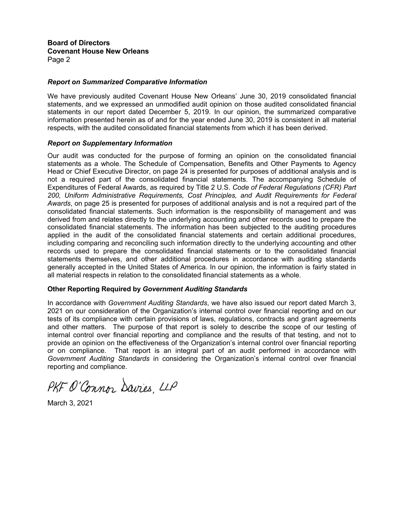#### **Board of Directors Covenant House New Orleans**  Page 2

#### *Report on Summarized Comparative Information*

We have previously audited Covenant House New Orleans' June 30, 2019 consolidated financial statements, and we expressed an unmodified audit opinion on those audited consolidated financial statements in our report dated December 5, 2019. In our opinion, the summarized comparative information presented herein as of and for the year ended June 30, 2019 is consistent in all material respects, with the audited consolidated financial statements from which it has been derived.

#### *Report on Supplementary Information*

Our audit was conducted for the purpose of forming an opinion on the consolidated financial statements as a whole. The Schedule of Compensation, Benefits and Other Payments to Agency Head or Chief Executive Director, on page 24 is presented for purposes of additional analysis and is not a required part of the consolidated financial statements. The accompanying Schedule of Expenditures of Federal Awards, as required by Title 2 U.S. *Code of Federal Regulations (CFR) Part 200, Uniform Administrative Requirements, Cost Principles, and Audit Requirements for Federal Awards*, on page 25 is presented for purposes of additional analysis and is not a required part of the consolidated financial statements. Such information is the responsibility of management and was derived from and relates directly to the underlying accounting and other records used to prepare the consolidated financial statements. The information has been subjected to the auditing procedures applied in the audit of the consolidated financial statements and certain additional procedures, including comparing and reconciling such information directly to the underlying accounting and other records used to prepare the consolidated financial statements or to the consolidated financial statements themselves, and other additional procedures in accordance with auditing standards generally accepted in the United States of America. In our opinion, the information is fairly stated in all material respects in relation to the consolidated financial statements as a whole.

#### **Other Reporting Required by** *Government Auditing Standards*

In accordance with *Government Auditing Standards*, we have also issued our report dated March 3, 2021 on our consideration of the Organization's internal control over financial reporting and on our tests of its compliance with certain provisions of laws, regulations, contracts and grant agreements and other matters. The purpose of that report is solely to describe the scope of our testing of internal control over financial reporting and compliance and the results of that testing, and not to provide an opinion on the effectiveness of the Organization's internal control over financial reporting or on compliance. That report is an integral part of an audit performed in accordance with *Government Auditing Standards* in considering the Organization's internal control over financial reporting and compliance.

PKF O'Connor Davies, LLP

March 3, 2021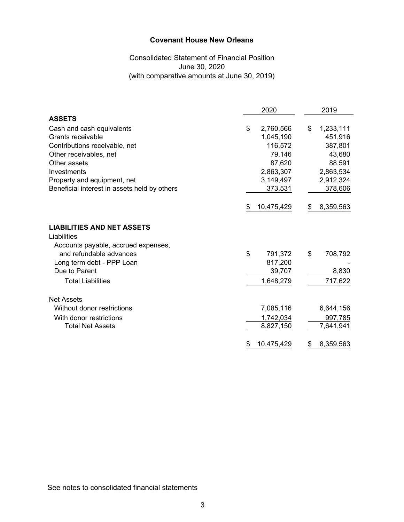# Consolidated Statement of Financial Position June 30, 2020 (with comparative amounts at June 30, 2019)

|                                              | 2020             | 2019            |
|----------------------------------------------|------------------|-----------------|
| <b>ASSETS</b>                                |                  |                 |
| Cash and cash equivalents                    | \$<br>2,760,566  | \$<br>1,233,111 |
| Grants receivable                            | 1,045,190        | 451,916         |
| Contributions receivable, net                | 116,572          | 387,801         |
| Other receivables, net                       | 79,146           | 43,680          |
| Other assets                                 | 87,620           | 88,591          |
| Investments                                  | 2,863,307        | 2,863,534       |
| Property and equipment, net                  | 3,149,497        | 2,912,324       |
| Beneficial interest in assets held by others | 373,531          | 378,606         |
|                                              | \$<br>10,475,429 | \$<br>8,359,563 |
| <b>LIABILITIES AND NET ASSETS</b>            |                  |                 |
| Liabilities                                  |                  |                 |
| Accounts payable, accrued expenses,          |                  |                 |
| and refundable advances                      | \$<br>791,372    | \$<br>708,792   |
| Long term debt - PPP Loan<br>Due to Parent   | 817,200          |                 |
|                                              | 39,707           | 8,830           |
| <b>Total Liabilities</b>                     | 1,648,279        | 717,622         |
| <b>Net Assets</b>                            |                  |                 |
| Without donor restrictions                   | 7,085,116        | 6,644,156       |
| With donor restrictions                      | 1,742,034        | 997,785         |
| <b>Total Net Assets</b>                      | 8,827,150        | 7,641,941       |
|                                              | \$<br>10,475,429 | \$<br>8,359,563 |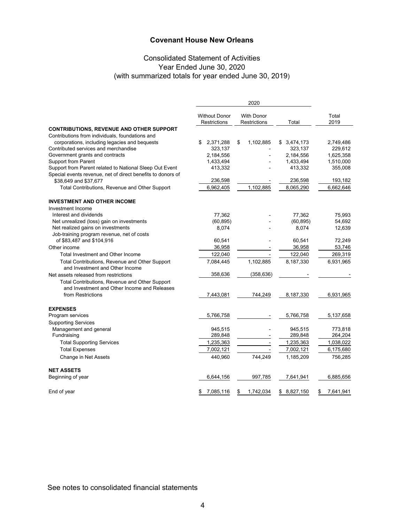# Consolidated Statement of Activities Year Ended June 30, 2020 (with summarized totals for year ended June 30, 2019)

|                                                                                                |                                      | 2020                              |                 |                 |
|------------------------------------------------------------------------------------------------|--------------------------------------|-----------------------------------|-----------------|-----------------|
|                                                                                                | <b>Without Donor</b><br>Restrictions | <b>With Donor</b><br>Restrictions | Total           | Total<br>2019   |
| <b>CONTRIBUTIONS, REVENUE AND OTHER SUPPORT</b>                                                |                                      |                                   |                 |                 |
| Contributions from individuals, foundations and                                                |                                      |                                   |                 |                 |
| corporations, including legacies and bequests                                                  | 2,371,288<br>S                       | 1,102,885<br>\$                   | 3,474,173<br>\$ | 2,749,486       |
| Contributed services and merchandise                                                           | 323,137                              |                                   | 323,137         | 229,612         |
| Government grants and contracts                                                                | 2,184,556                            |                                   | 2,184,556       | 1,625,358       |
| <b>Support from Parent</b>                                                                     | 1,433,494                            |                                   | 1,433,494       | 1,510,000       |
| Support from Parent related to National Sleep Out Event                                        | 413,332                              |                                   | 413,332         | 355,008         |
| Special events revenue, net of direct benefits to donors of                                    |                                      |                                   |                 |                 |
| \$38,649 and \$37,677                                                                          | 236,598                              |                                   | 236,598         | 193,182         |
| Total Contributions, Revenue and Other Support                                                 | 6,962,405                            | 1,102,885                         | 8,065,290       | 6,662,646       |
| <b>INVESTMENT AND OTHER INCOME</b>                                                             |                                      |                                   |                 |                 |
| Investment Income                                                                              |                                      |                                   |                 |                 |
| Interest and dividends                                                                         | 77,362                               |                                   | 77,362          | 75,993          |
| Net unrealized (loss) gain on investments                                                      | (60, 895)                            |                                   | (60, 895)       | 54,692          |
| Net realized gains on investments                                                              | 8,074                                |                                   | 8,074           | 12,639          |
| Job-training program revenue, net of costs                                                     |                                      |                                   |                 |                 |
| of \$83,487 and \$104,916                                                                      | 60,541                               |                                   | 60,541          | 72,249          |
| Other income                                                                                   | 36,958                               |                                   | 36,958          | 53,746          |
| Total Investment and Other Income                                                              | 122,040                              |                                   | 122,040         | 269,319         |
| Total Contributions, Revenue and Other Support<br>and Investment and Other Income              | 7,084,445                            | 1,102,885                         | 8,187,330       | 6,931,965       |
| Net assets released from restrictions                                                          | 358,636                              | (358, 636)                        |                 |                 |
| Total Contributions, Revenue and Other Support<br>and Investment and Other Income and Releases |                                      |                                   |                 |                 |
| from Restrictions                                                                              | 7,443,081                            | 744,249                           | 8,187,330       | 6,931,965       |
| <b>EXPENSES</b>                                                                                |                                      |                                   |                 |                 |
| Program services                                                                               | 5,766,758                            |                                   | 5,766,758       | 5,137,658       |
| <b>Supporting Services</b>                                                                     |                                      |                                   |                 |                 |
| Management and general                                                                         | 945,515                              |                                   | 945,515         | 773,818         |
| Fundraising                                                                                    | 289,848                              |                                   | 289,848         | 264,204         |
| <b>Total Supporting Services</b>                                                               | 1,235,363                            | $\overline{\phantom{a}}$          | 1,235,363       | 1,038,022       |
| <b>Total Expenses</b>                                                                          | 7,002,121                            |                                   | 7,002,121       | 6,175,680       |
| Change in Net Assets                                                                           | 440,960                              | 744,249                           | 1,185,209       | 756,285         |
| <b>NET ASSETS</b>                                                                              |                                      |                                   |                 |                 |
| Beginning of year                                                                              | 6,644,156                            | 997,785                           | 7,641,941       | 6,885,656       |
| End of year                                                                                    | 7,085,116<br>\$                      | 1,742,034<br>\$                   | \$8,827,150     | 7,641,941<br>\$ |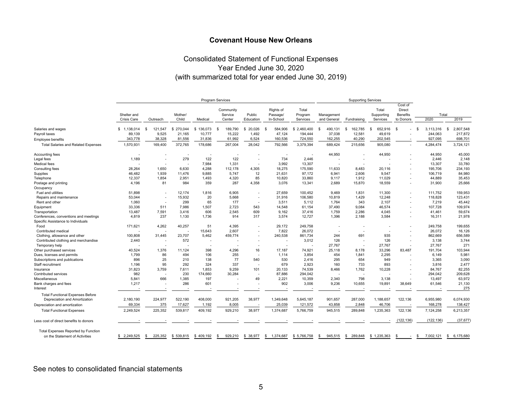# Consolidated Statement of Functional Expenses Year Ended June 30, 2020 (with summarized total for year ended June 30, 2019)

|                                            |                          |                          |                |                          | Program Services     |                          |                          |                          | <b>Supporting Services</b> |               |                         |                                      |                 |                   |
|--------------------------------------------|--------------------------|--------------------------|----------------|--------------------------|----------------------|--------------------------|--------------------------|--------------------------|----------------------------|---------------|-------------------------|--------------------------------------|-----------------|-------------------|
|                                            | Shelter and              |                          | Mother/        |                          | Community<br>Service | Public                   | Rights of<br>Passage/    | Total<br>Program         | Management                 |               | Total<br>Supporting     | Cost of<br>Direct<br><b>Benefits</b> | Total           |                   |
|                                            | Crisis Care              | Outreach                 | Child          | Medical                  | Center               | Education                | In-School                | Services                 | and General                | Fundraising   | Services                | to Donors                            | 2020            | 2019              |
| Salaries and wages                         | \$1.138.014              | \$<br>121.547            | 270,044<br>\$. | 136,073<br>\$.           | 189.790<br>- \$      | \$20.026                 | 584,906<br>-\$           | \$2.460,400              | 490.131<br>-\$             | 162,785<br>\$ | $\mathbf{s}$<br>652.916 | - \$                                 | 3,113,316<br>\$ | 2,807,548<br>- \$ |
| Payroll taxes                              | 89,139                   | 9.525                    | 21,165         | 10,777                   | 15,222               | 1.492                    | 47,124                   | 194,444                  | 37,038                     | 12,581        | 49.619                  |                                      | 244,063         | 217,872           |
| <b>Employee benefits</b>                   | 343,778                  | 38,328                   | 81,556         | 31,836                   | 61,992               | 6,524                    | 160,536                  | 724,550                  | 162,255                    | 40,290        | 202,545                 | $\overline{\phantom{a}}$             | 927,095         | 698,701           |
| <b>Total Salaries and Related Expenses</b> | 1,570,931                | 169,400                  | 372,765        | 178,686                  | 267,004              | 28,042                   | 792,566                  | 3,379,394                | 689,424                    | 215,656       | 905,080                 |                                      | 4,284,474       | 3,724,121         |
| Accounting fees                            | $\overline{\phantom{a}}$ |                          |                | $\overline{a}$           |                      |                          | $\overline{\phantom{a}}$ | $\overline{\phantom{a}}$ | 44,950                     |               | 44,950                  |                                      | 44,950          | 45,000            |
| Legal fees                                 | 1,189                    | $\overline{\phantom{a}}$ | 279            | 122                      | 122                  |                          | 734                      | 2,446                    |                            |               |                         |                                      | 2,446           | 2,148             |
| Medical fees                               |                          |                          |                | 7,984                    | 1,331                |                          | 3,992                    | 13,307                   |                            |               |                         |                                      | 13,307          | 33,780            |
| Consulting fees                            | 28,264                   | 1,650                    | 6,630          | 4,288                    | 112,178              | 4,305                    | 18,275                   | 175,590                  | 11,633                     | 8,483         | 20,116                  |                                      | 195,706         | 234,193           |
| Supplies                                   | 46,482                   | 1,939                    | 11,476         | 9,885                    | 5,747                | 12                       | 21,631                   | 97,172                   | 6,941                      | 2,606         | 9,547                   |                                      | 106,719         | 84,980            |
| Telephone                                  | 12,337                   | 1,854                    | 2,951          | 1,493                    | 4,320                | 85                       | 10,820                   | 33,860                   | 9,117                      | 1,912         | 11,029                  |                                      | 44,889          | 35,453            |
| Postage and printing<br>Occupancy          | 4,196                    | 81                       | 984            | 359                      | 287                  | 4,358                    | 3,076                    | 13,341                   | 2,689                      | 15,870        | 18,559                  |                                      | 31,900          | 25,666            |
| Fuel and utilities                         | 51,898                   | $\overline{a}$           | 12.174         | 1,816                    | 6,905                | $\blacksquare$           | 27.659                   | 100.452                  | 9.469                      | 1.831         | 11,300                  |                                      | 111,752         | 159,953           |
| Repairs and maintenance                    | 53,044                   | $\overline{\phantom{a}}$ | 15,932         | 20                       | 5,668                | $\overline{\phantom{a}}$ | 31,916                   | 106,580                  | 10,819                     | 1,429         | 12,248                  |                                      | 118,828         | 123,431           |
| Rent and other                             | 1.060                    | $\overline{\phantom{a}}$ | 299            | 65                       | 177                  | $\overline{a}$           | 3.511                    | 5.112                    | 1.764                      | 343           | 2.107                   |                                      | 7.219           | 45.442            |
| Equipment                                  | 33,336                   | 511                      | 7,986          | 1,507                    | 2,723                | 543                      | 14,548                   | 61,154                   | 37.490                     | 9,084         | 46,574                  |                                      | 107,728         | 109,974           |
| Transportation                             | 13,487                   | 7,591                    | 3,416          | 606                      | 2,545                | 609                      | 9,162                    | 37,416                   | 1,759                      | 2,286         | 4,045                   |                                      | 41,461          | 59,674            |
| Conferences, conventions and meetings      | 4,819                    | 237                      | 1.130          | 1,736                    | 914                  | 317                      | 3,574                    | 12,727                   | 1,396                      | 2,188         | 3,584                   |                                      | 16,311          | 21,978            |
| Specific Assistance to Individuals         |                          |                          |                |                          |                      |                          |                          |                          |                            |               |                         |                                      |                 |                   |
| Food                                       | 171,621                  | 4,262                    | 40,257         | 51                       | 4,395                | $\overline{\phantom{a}}$ | 29,172                   | 249.758                  |                            |               |                         |                                      | 249,758         | 199,655           |
| Contributed medical                        |                          |                          |                | 15,643                   | 2,607                |                          | 7,822                    | 26,072                   |                            |               |                         |                                      | 26,072          | 16,126            |
| Clothing, allowance and other              | 100,808                  | 31,445                   | 23,707         | 5,462                    | 459,774              | $\overline{\phantom{a}}$ | 240,538                  | 861,734                  | 244                        | 691           | 935                     |                                      | 862,669         | 656,589           |
| Contributed clothing and merchandise       | 2,440                    |                          | 572            | $\blacksquare$           |                      |                          | $\overline{a}$           | 3,012                    | 126                        |               | 126                     |                                      | 3,138           | 3,744             |
| Temporary help                             |                          | J.                       |                | $\overline{\phantom{a}}$ |                      | $\overline{\phantom{a}}$ | $\overline{a}$           |                          | 27,767                     |               | 27,767                  |                                      | 27,767          | 271               |
| Other purchased services                   | 40,524                   | 1,376                    | 11,124         | 398                      | 4,296                | 16                       | 17,187                   | 74,921                   | 25,118                     | 8,178         | 33,296                  | 83,487                               | 191,704         | 103,944           |
| Dues, licenses and permits                 | 1.799                    | 86                       | 494            | 106                      | 255                  | $\overline{\phantom{a}}$ | 1,114                    | 3,854                    | 454                        | 1,841         | 2,295                   |                                      | 6.149           | 5,981             |
| Subscriptions and publications             | 896                      | 25                       | 210            | 138                      | 77                   | 540                      | 530                      | 2,416                    | 295                        | 654           | 949                     |                                      | 3,365           | 3,090             |
| Staff recruitment                          | 1,196                    | 95                       | 292            | 324                      | 337                  |                          | 679                      | 2.923                    | 160                        | 733           | 893                     |                                      | 3.816           | 2,477             |
| Insurance                                  | 31,823                   | 3.759                    | 7.611          | 1.853                    | 9.259                | 101                      | 20,133                   | 74.539                   | 8.466                      | 1.762         | 10,228                  |                                      | 84.767          | 82,255            |
| Contributed services                       | 982                      | J.                       | 230            | 174,660                  | 30,284               | $\overline{\phantom{a}}$ | 87,886                   | 294,042                  |                            |               |                         |                                      | 294,042         | 209,628           |
| Miscellaneous                              | 5.841                    | 666                      | 1,385          | 197                      |                      | 49                       | 2,221                    | 10,359                   | 2.340                      | 798           | 3,138                   |                                      | 13,497          | 63,972            |
| Bank charges and fees<br>Interest          | 1,217                    | $\overline{\phantom{a}}$ | 286            | 601                      |                      | $\overline{\phantom{a}}$ | 902                      | 3,006                    | 9,236                      | 10,655        | 19,891                  | 38,649                               | 61,546          | 21,130<br>275     |
| <b>Total Functional Expenses Before</b>    |                          |                          |                |                          |                      |                          |                          |                          |                            |               |                         |                                      |                 |                   |
| Depreciation and Amortization              | 2,180,190                | 224,977                  | 522,190        | 408,000                  | 921,205              | 38,977                   | 1,349,648                | 5,645,187                | 901,657                    | 287,000       | 1,188,657               | 122,136                              | 6,955,980       | 6,074,930         |
| Depreciation and amortization              | 69,334                   | 375                      | 17,627         | 1,192                    | 8,005                |                          | 25,039                   | 121,572                  | 43,858                     | 2,848         | 46,706                  |                                      | 168,278         | 138,427           |
| <b>Total Functional Expenses</b>           | 2,249,524                | 225.352                  | 539.817        | 409,192                  | 929,210              | 38,977                   | 1,374,687                | 5,766,759                | 945,515                    | 289,848       | 1,235,363               | 122,136                              | 7,124,258       | 6,213,357         |
| Less cost of direct benefits to donors     |                          |                          |                |                          |                      |                          |                          |                          |                            |               |                         | (122, 136)                           | (122, 136)      | (37, 677)         |
| <b>Total Expenses Reported by Function</b> |                          |                          |                |                          |                      |                          |                          |                          |                            |               |                         |                                      |                 |                   |
| on the Statement of Activities             | \$2,249,525              | 225,352<br>- \$          | \$539,815      | \$409,192                | 929,210<br>-S        | \$38,977                 | 1,374,687<br>S.          | \$5,766,758              | 945,515<br>S               | \$<br>289,848 | \$1,235,363             | - \$                                 | \$<br>7,002,121 | \$6,175,680       |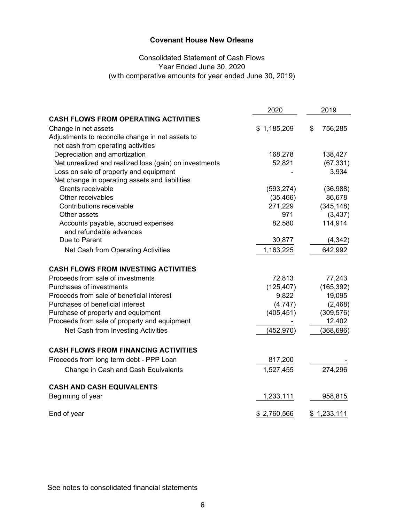# Consolidated Statement of Cash Flows Year Ended June 30, 2020 (with comparative amounts for year ended June 30, 2019)

|                                                        | 2020        | 2019          |
|--------------------------------------------------------|-------------|---------------|
| <b>CASH FLOWS FROM OPERATING ACTIVITIES</b>            |             |               |
| Change in net assets                                   | \$1,185,209 | \$<br>756,285 |
| Adjustments to reconcile change in net assets to       |             |               |
| net cash from operating activities                     |             |               |
| Depreciation and amortization                          | 168,278     | 138,427       |
| Net unrealized and realized loss (gain) on investments | 52,821      | (67, 331)     |
| Loss on sale of property and equipment                 |             | 3,934         |
| Net change in operating assets and liabilities         |             |               |
| Grants receivable                                      | (593, 274)  | (36,988)      |
| Other receivables                                      | (35, 466)   | 86,678        |
| Contributions receivable                               | 271,229     | (345, 148)    |
| Other assets                                           | 971         | (3, 437)      |
| Accounts payable, accrued expenses                     | 82,580      | 114,914       |
| and refundable advances                                |             |               |
| Due to Parent                                          | 30,877      | (4, 342)      |
| Net Cash from Operating Activities                     | 1,163,225   | 642,992       |
| <b>CASH FLOWS FROM INVESTING ACTIVITIES</b>            |             |               |
| Proceeds from sale of investments                      | 72,813      | 77,243        |
| Purchases of investments                               | (125, 407)  | (165, 392)    |
| Proceeds from sale of beneficial interest              | 9,822       | 19,095        |
| Purchases of beneficial interest                       | (4,747)     | (2,468)       |
| Purchase of property and equipment                     | (405, 451)  | (309, 576)    |
| Proceeds from sale of property and equipment           |             | 12,402        |
| Net Cash from Investing Activities                     | (452, 970)  | (368, 696)    |
| <b>CASH FLOWS FROM FINANCING ACTIVITIES</b>            |             |               |
| Proceeds from long term debt - PPP Loan                | 817,200     |               |
| Change in Cash and Cash Equivalents                    | 1,527,455   | 274,296       |
| <b>CASH AND CASH EQUIVALENTS</b>                       |             |               |
| Beginning of year                                      | 1,233,111   | 958,815       |
| End of year                                            | \$2,760,566 | \$1,233,111   |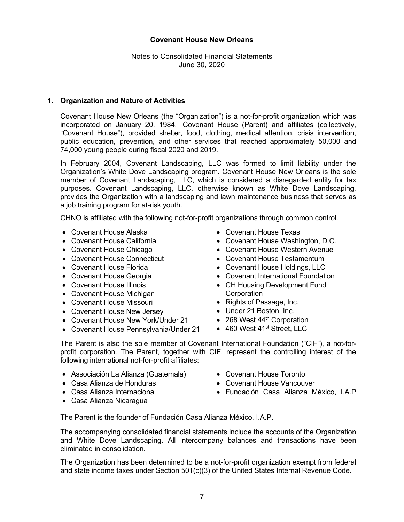Notes to Consolidated Financial Statements June 30, 2020

## **1. Organization and Nature of Activities**

Covenant House New Orleans (the "Organization") is a not-for-profit organization which was incorporated on January 20, 1984. Covenant House (Parent) and affiliates (collectively, "Covenant House"), provided shelter, food, clothing, medical attention, crisis intervention, public education, prevention, and other services that reached approximately 50,000 and 74,000 young people during fiscal 2020 and 2019.

In February 2004, Covenant Landscaping, LLC was formed to limit liability under the Organization's White Dove Landscaping program. Covenant House New Orleans is the sole member of Covenant Landscaping, LLC, which is considered a disregarded entity for tax purposes. Covenant Landscaping, LLC, otherwise known as White Dove Landscaping, provides the Organization with a landscaping and lawn maintenance business that serves as a job training program for at-risk youth.

CHNO is affiliated with the following not-for-profit organizations through common control.

- Covenant House Alaska
- Covenant House California
- Covenant House Chicago
- Covenant House Connecticut
- Covenant House Florida
- Covenant House Georgia
- Covenant House Illinois
- Covenant House Michigan
- Covenant House Missouri
- Covenant House New Jersey
- Covenant House New York/Under 21
- Covenant House Pennsylvania/Under 21
- Covenant House Texas
- Covenant House Washington, D.C.
- Covenant House Western Avenue
- Covenant House Testamentum
- Covenant House Holdings, LLC
- Covenant International Foundation
- CH Housing Development Fund **Corporation**
- Rights of Passage, Inc.
- Under 21 Boston, Inc.
- 268 West 44<sup>th</sup> Corporation
- 460 West 41<sup>st</sup> Street, LLC

The Parent is also the sole member of Covenant International Foundation ("CIF"), a not-forprofit corporation. The Parent, together with CIF, represent the controlling interest of the following international not-for-profit affiliates:

- Associación La Alianza (Guatemala)
- Casa Alianza de Honduras
- Casa Alianza Internacional
- Casa Alianza Nicaragua
- Covenant House Toronto
- Covenant House Vancouver
- Fundación Casa Alianza México, I.A.P

The Parent is the founder of Fundación Casa Alianza México, I.A.P.

The accompanying consolidated financial statements include the accounts of the Organization and White Dove Landscaping. All intercompany balances and transactions have been eliminated in consolidation.

The Organization has been determined to be a not-for-profit organization exempt from federal and state income taxes under Section 501(c)(3) of the United States Internal Revenue Code.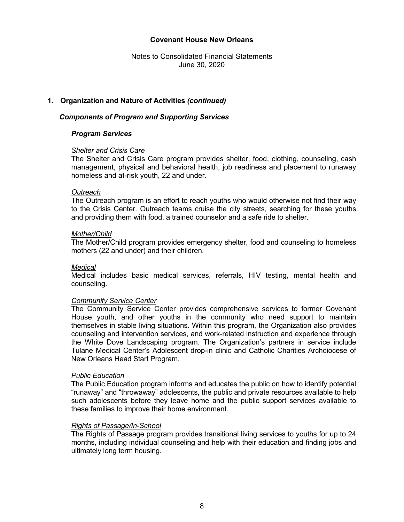Notes to Consolidated Financial Statements June 30, 2020

## **1. Organization and Nature of Activities** *(continued)*

## *Components of Program and Supporting Services*

## *Program Services*

#### *Shelter and Crisis Care*

The Shelter and Crisis Care program provides shelter, food, clothing, counseling, cash management, physical and behavioral health, job readiness and placement to runaway homeless and at-risk youth, 22 and under.

#### *Outreach*

The Outreach program is an effort to reach youths who would otherwise not find their way to the Crisis Center. Outreach teams cruise the city streets, searching for these youths and providing them with food, a trained counselor and a safe ride to shelter.

#### *Mother/Child*

The Mother/Child program provides emergency shelter, food and counseling to homeless mothers (22 and under) and their children.

## *Medical*

Medical includes basic medical services, referrals, HIV testing, mental health and counseling.

## *Community Service Center*

The Community Service Center provides comprehensive services to former Covenant House youth, and other youths in the community who need support to maintain themselves in stable living situations. Within this program, the Organization also provides counseling and intervention services, and work-related instruction and experience through the White Dove Landscaping program. The Organization's partners in service include Tulane Medical Center's Adolescent drop-in clinic and Catholic Charities Archdiocese of New Orleans Head Start Program.

#### *Public Education*

The Public Education program informs and educates the public on how to identify potential "runaway" and "throwaway" adolescents, the public and private resources available to help such adolescents before they leave home and the public support services available to these families to improve their home environment.

#### *Rights of Passage/In-School*

The Rights of Passage program provides transitional living services to youths for up to 24 months, including individual counseling and help with their education and finding jobs and ultimately long term housing.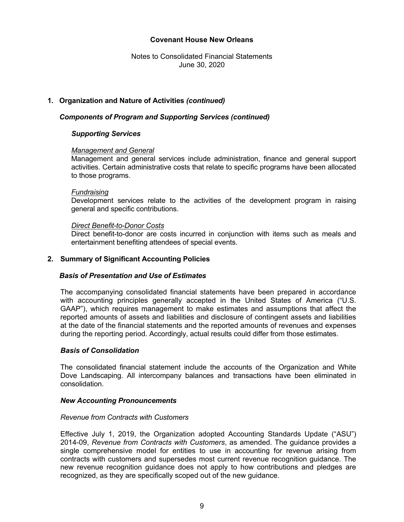Notes to Consolidated Financial Statements June 30, 2020

# **1. Organization and Nature of Activities** *(continued)*

## *Components of Program and Supporting Services (continued)*

# *Supporting Services*

## *Management and General*

Management and general services include administration, finance and general support activities. Certain administrative costs that relate to specific programs have been allocated to those programs.

## *Fundraising*

Development services relate to the activities of the development program in raising general and specific contributions.

## *Direct Benefit-to-Donor Costs*

Direct benefit-to-donor are costs incurred in conjunction with items such as meals and entertainment benefiting attendees of special events.

#### **2. Summary of Significant Accounting Policies**

## *Basis of Presentation and Use of Estimates*

 The accompanying consolidated financial statements have been prepared in accordance with accounting principles generally accepted in the United States of America ("U.S. GAAP"), which requires management to make estimates and assumptions that affect the reported amounts of assets and liabilities and disclosure of contingent assets and liabilities at the date of the financial statements and the reported amounts of revenues and expenses during the reporting period. Accordingly, actual results could differ from those estimates.

#### *Basis of Consolidation*

 The consolidated financial statement include the accounts of the Organization and White Dove Landscaping. All intercompany balances and transactions have been eliminated in consolidation.

## *New Accounting Pronouncements*

#### *Revenue from Contracts with Customers*

Effective July 1, 2019, the Organization adopted Accounting Standards Update ("ASU") 2014-09, *Revenue from Contracts with Customers*, as amended. The guidance provides a single comprehensive model for entities to use in accounting for revenue arising from contracts with customers and supersedes most current revenue recognition guidance. The new revenue recognition guidance does not apply to how contributions and pledges are recognized, as they are specifically scoped out of the new guidance.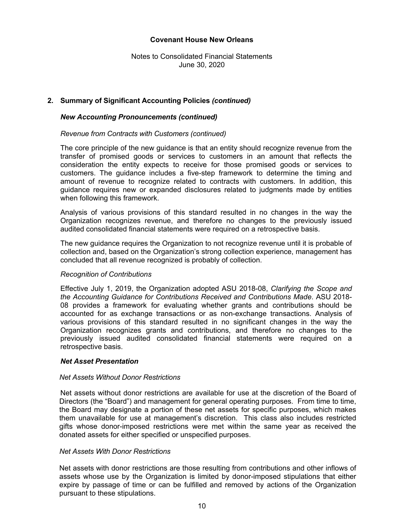Notes to Consolidated Financial Statements June 30, 2020

# **2. Summary of Significant Accounting Policies** *(continued)*

## *New Accounting Pronouncements (continued)*

#### *Revenue from Contracts with Customers (continued)*

The core principle of the new guidance is that an entity should recognize revenue from the transfer of promised goods or services to customers in an amount that reflects the consideration the entity expects to receive for those promised goods or services to customers. The guidance includes a five-step framework to determine the timing and amount of revenue to recognize related to contracts with customers. In addition, this guidance requires new or expanded disclosures related to judgments made by entities when following this framework.

Analysis of various provisions of this standard resulted in no changes in the way the Organization recognizes revenue, and therefore no changes to the previously issued audited consolidated financial statements were required on a retrospective basis.

The new guidance requires the Organization to not recognize revenue until it is probable of collection and, based on the Organization's strong collection experience, management has concluded that all revenue recognized is probably of collection.

## *Recognition of Contributions*

Effective July 1, 2019, the Organization adopted ASU 2018-08, *Clarifying the Scope and the Accounting Guidance for Contributions Received and Contributions Made*. ASU 2018- 08 provides a framework for evaluating whether grants and contributions should be accounted for as exchange transactions or as non-exchange transactions. Analysis of various provisions of this standard resulted in no significant changes in the way the Organization recognizes grants and contributions, and therefore no changes to the previously issued audited consolidated financial statements were required on a retrospective basis.

#### *Net Asset Presentation*

## *Net Assets Without Donor Restrictions*

Net assets without donor restrictions are available for use at the discretion of the Board of Directors (the "Board") and management for general operating purposes. From time to time, the Board may designate a portion of these net assets for specific purposes, which makes them unavailable for use at management's discretion. This class also includes restricted gifts whose donor-imposed restrictions were met within the same year as received the donated assets for either specified or unspecified purposes.

#### *Net Assets With Donor Restrictions*

Net assets with donor restrictions are those resulting from contributions and other inflows of assets whose use by the Organization is limited by donor-imposed stipulations that either expire by passage of time or can be fulfilled and removed by actions of the Organization pursuant to these stipulations.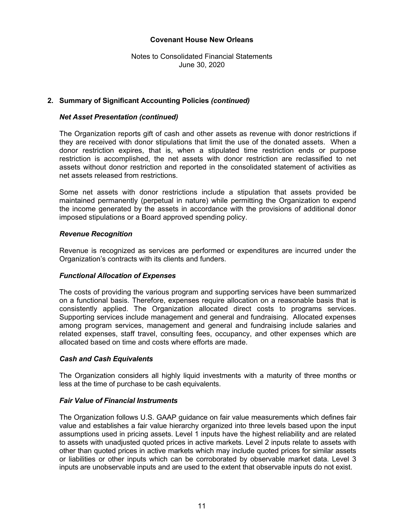Notes to Consolidated Financial Statements June 30, 2020

# **2. Summary of Significant Accounting Policies** *(continued)*

## *Net Asset Presentation (continued)*

The Organization reports gift of cash and other assets as revenue with donor restrictions if they are received with donor stipulations that limit the use of the donated assets. When a donor restriction expires, that is, when a stipulated time restriction ends or purpose restriction is accomplished, the net assets with donor restriction are reclassified to net assets without donor restriction and reported in the consolidated statement of activities as net assets released from restrictions.

Some net assets with donor restrictions include a stipulation that assets provided be maintained permanently (perpetual in nature) while permitting the Organization to expend the income generated by the assets in accordance with the provisions of additional donor imposed stipulations or a Board approved spending policy.

## *Revenue Recognition*

 Revenue is recognized as services are performed or expenditures are incurred under the Organization's contracts with its clients and funders.

## *Functional Allocation of Expenses*

 The costs of providing the various program and supporting services have been summarized on a functional basis. Therefore, expenses require allocation on a reasonable basis that is consistently applied. The Organization allocated direct costs to programs services. Supporting services include management and general and fundraising. Allocated expenses among program services, management and general and fundraising include salaries and related expenses, staff travel, consulting fees, occupancy, and other expenses which are allocated based on time and costs where efforts are made.

## *Cash and Cash Equivalents*

The Organization considers all highly liquid investments with a maturity of three months or less at the time of purchase to be cash equivalents.

## *Fair Value of Financial Instruments*

The Organization follows U.S. GAAP guidance on fair value measurements which defines fair value and establishes a fair value hierarchy organized into three levels based upon the input assumptions used in pricing assets. Level 1 inputs have the highest reliability and are related to assets with unadjusted quoted prices in active markets. Level 2 inputs relate to assets with other than quoted prices in active markets which may include quoted prices for similar assets or liabilities or other inputs which can be corroborated by observable market data. Level 3 inputs are unobservable inputs and are used to the extent that observable inputs do not exist.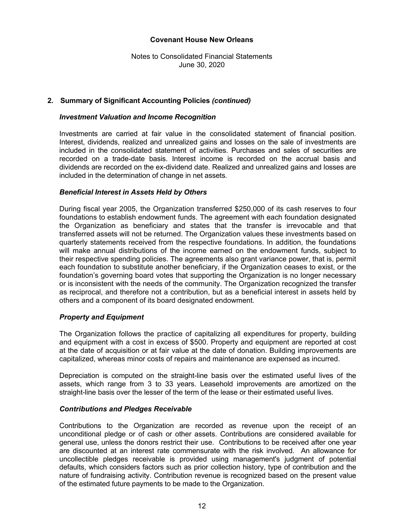Notes to Consolidated Financial Statements June 30, 2020

# **2. Summary of Significant Accounting Policies** *(continued)*

## *Investment Valuation and Income Recognition*

 Investments are carried at fair value in the consolidated statement of financial position. Interest, dividends, realized and unrealized gains and losses on the sale of investments are included in the consolidated statement of activities. Purchases and sales of securities are recorded on a trade-date basis. Interest income is recorded on the accrual basis and dividends are recorded on the ex-dividend date. Realized and unrealized gains and losses are included in the determination of change in net assets.

## *Beneficial Interest in Assets Held by Others*

 During fiscal year 2005, the Organization transferred \$250,000 of its cash reserves to four foundations to establish endowment funds. The agreement with each foundation designated the Organization as beneficiary and states that the transfer is irrevocable and that transferred assets will not be returned. The Organization values these investments based on quarterly statements received from the respective foundations. In addition, the foundations will make annual distributions of the income earned on the endowment funds, subject to their respective spending policies. The agreements also grant variance power, that is, permit each foundation to substitute another beneficiary, if the Organization ceases to exist, or the foundation's governing board votes that supporting the Organization is no longer necessary or is inconsistent with the needs of the community. The Organization recognized the transfer as reciprocal, and therefore not a contribution, but as a beneficial interest in assets held by others and a component of its board designated endowment.

# *Property and Equipment*

 The Organization follows the practice of capitalizing all expenditures for property, building and equipment with a cost in excess of \$500. Property and equipment are reported at cost at the date of acquisition or at fair value at the date of donation. Building improvements are capitalized, whereas minor costs of repairs and maintenance are expensed as incurred.

Depreciation is computed on the straight-line basis over the estimated useful lives of the assets, which range from 3 to 33 years. Leasehold improvements are amortized on the straight-line basis over the lesser of the term of the lease or their estimated useful lives.

## *Contributions and Pledges Receivable*

Contributions to the Organization are recorded as revenue upon the receipt of an unconditional pledge or of cash or other assets. Contributions are considered available for general use, unless the donors restrict their use. Contributions to be received after one year are discounted at an interest rate commensurate with the risk involved. An allowance for uncollectible pledges receivable is provided using management's judgment of potential defaults, which considers factors such as prior collection history, type of contribution and the nature of fundraising activity. Contribution revenue is recognized based on the present value of the estimated future payments to be made to the Organization.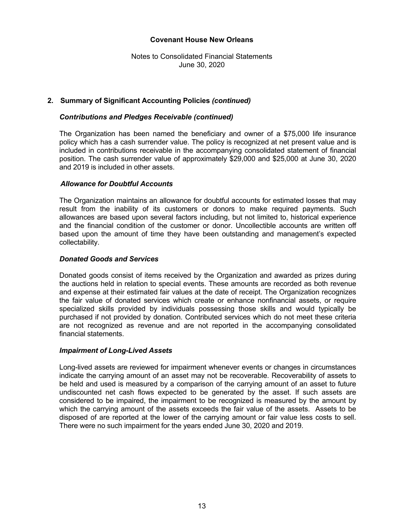Notes to Consolidated Financial Statements June 30, 2020

# **2. Summary of Significant Accounting Policies** *(continued)*

## *Contributions and Pledges Receivable (continued)*

The Organization has been named the beneficiary and owner of a \$75,000 life insurance policy which has a cash surrender value. The policy is recognized at net present value and is included in contributions receivable in the accompanying consolidated statement of financial position. The cash surrender value of approximately \$29,000 and \$25,000 at June 30, 2020 and 2019 is included in other assets.

## *Allowance for Doubtful Accounts*

The Organization maintains an allowance for doubtful accounts for estimated losses that may result from the inability of its customers or donors to make required payments. Such allowances are based upon several factors including, but not limited to, historical experience and the financial condition of the customer or donor. Uncollectible accounts are written off based upon the amount of time they have been outstanding and management's expected collectability.

## *Donated Goods and Services*

Donated goods consist of items received by the Organization and awarded as prizes during the auctions held in relation to special events. These amounts are recorded as both revenue and expense at their estimated fair values at the date of receipt. The Organization recognizes the fair value of donated services which create or enhance nonfinancial assets, or require specialized skills provided by individuals possessing those skills and would typically be purchased if not provided by donation. Contributed services which do not meet these criteria are not recognized as revenue and are not reported in the accompanying consolidated financial statements.

## *Impairment of Long-Lived Assets*

Long-lived assets are reviewed for impairment whenever events or changes in circumstances indicate the carrying amount of an asset may not be recoverable. Recoverability of assets to be held and used is measured by a comparison of the carrying amount of an asset to future undiscounted net cash flows expected to be generated by the asset. If such assets are considered to be impaired, the impairment to be recognized is measured by the amount by which the carrying amount of the assets exceeds the fair value of the assets. Assets to be disposed of are reported at the lower of the carrying amount or fair value less costs to sell. There were no such impairment for the years ended June 30, 2020 and 2019.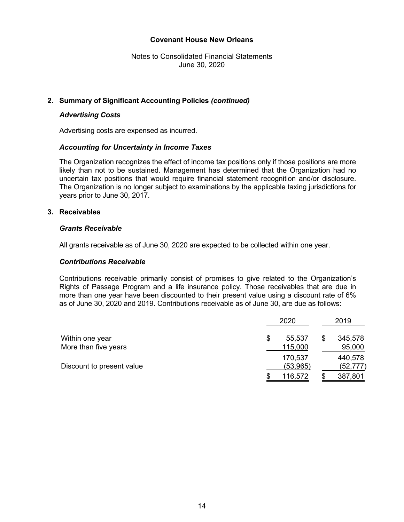Notes to Consolidated Financial Statements June 30, 2020

# **2. Summary of Significant Accounting Policies** *(continued)*

#### *Advertising Costs*

Advertising costs are expensed as incurred.

## *Accounting for Uncertainty in Income Taxes*

The Organization recognizes the effect of income tax positions only if those positions are more likely than not to be sustained. Management has determined that the Organization had no uncertain tax positions that would require financial statement recognition and/or disclosure. The Organization is no longer subject to examinations by the applicable taxing jurisdictions for years prior to June 30, 2017.

## **3. Receivables**

#### *Grants Receivable*

All grants receivable as of June 30, 2020 are expected to be collected within one year.

#### *Contributions Receivable*

Contributions receivable primarily consist of promises to give related to the Organization's Rights of Passage Program and a life insurance policy. Those receivables that are due in more than one year have been discounted to their present value using a discount rate of 6% as of June 30, 2020 and 2019. Contributions receivable as of June 30, are due as follows:

|                           | 2020         | 2019     |
|---------------------------|--------------|----------|
| Within one year           | \$<br>55,537 | 345,578  |
| More than five years      | 115,000      | 95,000   |
|                           | 170,537      | 440,578  |
| Discount to present value | (53, 965)    | (52,777) |
|                           | 116,572      | 387,801  |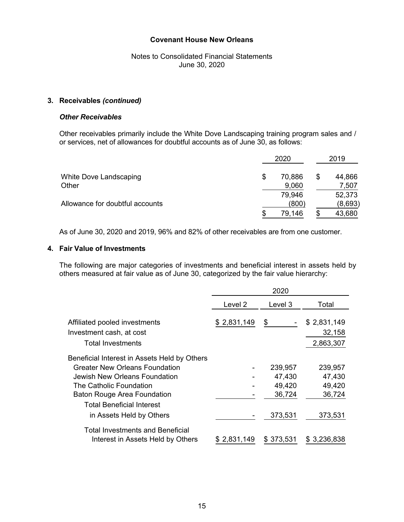Notes to Consolidated Financial Statements June 30, 2020

## **3. Receivables** *(continued)*

#### *Other Receivables*

Other receivables primarily include the White Dove Landscaping training program sales and / or services, net of allowances for doubtful accounts as of June 30, as follows:

|                                 |    | 2020   | 2019         |
|---------------------------------|----|--------|--------------|
| White Dove Landscaping          | \$ | 70,886 | \$<br>44,866 |
| Other                           |    | 9,060  | 7,507        |
|                                 |    | 79,946 | 52,373       |
| Allowance for doubtful accounts |    | (800)  | (8,693)      |
|                                 | S  | 79,146 | 43,680       |

As of June 30, 2020 and 2019, 96% and 82% of other receivables are from one customer.

## **4. Fair Value of Investments**

The following are major categories of investments and beneficial interest in assets held by others measured at fair value as of June 30, categorized by the fair value hierarchy:

|                                                                                                                                                                                                                |             | 2020                                  |                                       |
|----------------------------------------------------------------------------------------------------------------------------------------------------------------------------------------------------------------|-------------|---------------------------------------|---------------------------------------|
|                                                                                                                                                                                                                | Level 2     | Level 3                               | Total                                 |
| Affiliated pooled investments<br>Investment cash, at cost<br><b>Total Investments</b>                                                                                                                          | \$2,831,149 | \$                                    | \$2,831,149<br>32,158<br>2,863,307    |
| Beneficial Interest in Assets Held by Others<br><b>Greater New Orleans Foundation</b><br>Jewish New Orleans Foundation<br>The Catholic Foundation.<br>Baton Rouge Area Foundation<br>Total Beneficial Interest |             | 239,957<br>47,430<br>49,420<br>36,724 | 239,957<br>47,430<br>49,420<br>36,724 |
| in Assets Held by Others                                                                                                                                                                                       |             | 373,531                               | 373,531                               |
| Total Investments and Beneficial<br>Interest in Assets Held by Others                                                                                                                                          | \$2,831,149 | \$373,531                             | 3,236,838<br>S.                       |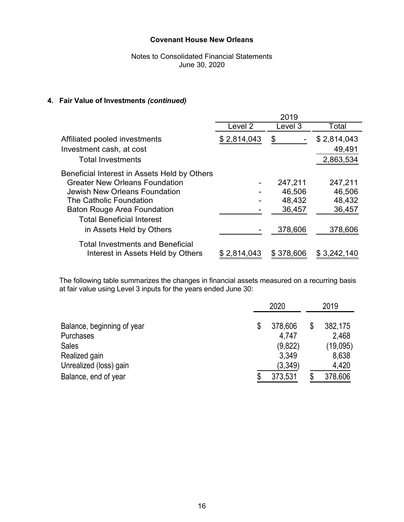# Notes to Consolidated Financial Statements June 30, 2020

# **4. Fair Value of Investments** *(continued)*

|                                              |             | 2019      |             |
|----------------------------------------------|-------------|-----------|-------------|
|                                              | Level 2     | Level 3   | Total       |
| Affiliated pooled investments                | \$2,814,043 | \$        | \$2,814,043 |
| Investment cash, at cost                     |             |           | 49,491      |
| <b>Total Investments</b>                     |             |           | 2,863,534   |
| Beneficial Interest in Assets Held by Others |             |           |             |
| <b>Greater New Orleans Foundation</b>        |             | 247,211   | 247,211     |
| Jewish New Orleans Foundation                |             | 46,506    | 46,506      |
| The Catholic Foundation                      |             | 48,432    | 48,432      |
| <b>Baton Rouge Area Foundation</b>           |             | 36,457    | 36,457      |
| <b>Total Beneficial Interest</b>             |             |           |             |
| in Assets Held by Others                     |             | 378,606   | 378,606     |
| <b>Total Investments and Beneficial</b>      |             |           |             |
| Interest in Assets Held by Others            | 2,814,043   | \$378,606 | \$3,242,140 |

 The following table summarizes the changes in financial assets measured on a recurring basis at fair value using Level 3 inputs for the years ended June 30:

|                            | 2020          | 2019          |
|----------------------------|---------------|---------------|
| Balance, beginning of year | \$<br>378,606 | \$<br>382,175 |
| <b>Purchases</b>           | 4,747         | 2,468         |
| <b>Sales</b>               | (9,822)       | (19,095)      |
| Realized gain              | 3,349         | 8,638         |
| Unrealized (loss) gain     | (3,349)       | 4,420         |
| Balance, end of year       | \$<br>373,531 | 378,606       |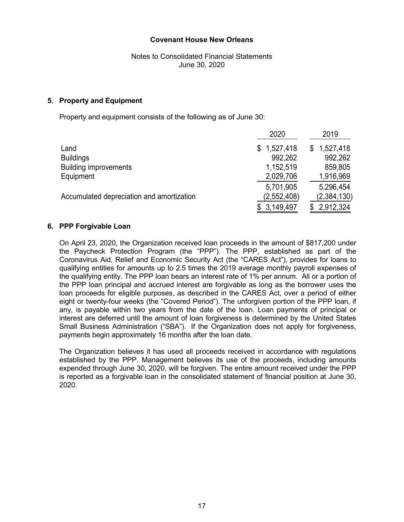Notes to Consolidated Financial Statements June 30, 2020

## **5. Property and Equipment**

Property and equipment consists of the following as of June 30:

|                                           | 2020        | 2019            |
|-------------------------------------------|-------------|-----------------|
| Land                                      | \$1,527,418 | 1,527,418<br>\$ |
| <b>Buildings</b>                          | 992,262     | 992,262         |
| <b>Building improvements</b>              | 1,152,519   | 859,805         |
| Equipment                                 | 2,029,706   | 1,916,969       |
|                                           | 5,701,905   | 5,296,454       |
| Accumulated depreciation and amortization | (2,552,408) | (2,384,130)     |
|                                           | \$3,149,497 | 2,912,324       |

## **6. PPP Forgivable Loan**

On April 23, 2020, the Organization received loan proceeds in the amount of \$817,200 under the Paycheck Protection Program (the "PPP"). The PPP, established as part of the Coronavirus Aid, Relief and Economic Security Act (the "CARES Act"), provides for loans to qualifying entities for amounts up to 2.5 times the 2019 average monthly payroll expenses of the qualifying entity. The PPP loan bears an interest rate of 1% per annum. All or a portion of the PPP loan principal and accrued interest are forgivable as long as the borrower uses the loan proceeds for eligible purposes, as described in the CARES Act, over a period of either eight or twenty-four weeks (the "Covered Period"). The unforgiven portion of the PPP loan, if any, is payable within two years from the date of the loan. Loan payments of principal or interest are deferred until the amount of loan forgiveness is determined by the United States Small Business Administration ("SBA"). If the Organization does not apply for forgiveness, payments begin approximately 16 months after the loan date.

The Organization believes it has used all proceeds received in accordance with regulations established by the PPP. Management believes its use of the proceeds, including amounts expended through June 30, 2020, will be forgiven. The entire amount received under the PPP is reported as a forgivable loan in the consolidated statement of financial position at June 30, 2020.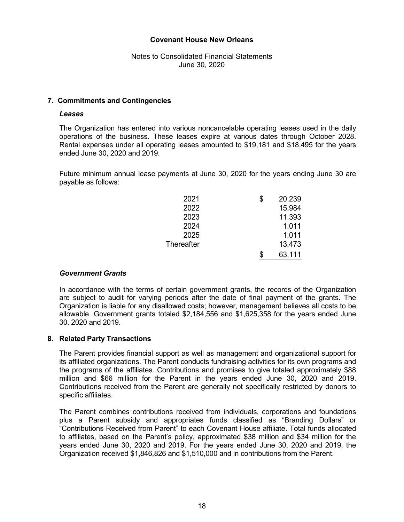Notes to Consolidated Financial Statements June 30, 2020

## **7. Commitments and Contingencies**

## *Leases*

The Organization has entered into various noncancelable operating leases used in the daily operations of the business. These leases expire at various dates through October 2028. Rental expenses under all operating leases amounted to \$19,181 and \$18,495 for the years ended June 30, 2020 and 2019.

Future minimum annual lease payments at June 30, 2020 for the years ending June 30 are payable as follows:

| 2021       | \$<br>20,239 |
|------------|--------------|
| 2022       | 15,984       |
| 2023       | 11,393       |
| 2024       | 1,011        |
| 2025       | 1,011        |
| Thereafter | 13,473       |
|            | 63,111       |

## *Government Grants*

In accordance with the terms of certain government grants, the records of the Organization are subject to audit for varying periods after the date of final payment of the grants. The Organization is liable for any disallowed costs; however, management believes all costs to be allowable. Government grants totaled \$2,184,556 and \$1,625,358 for the years ended June 30, 2020 and 2019.

## **8. Related Party Transactions**

The Parent provides financial support as well as management and organizational support for its affiliated organizations. The Parent conducts fundraising activities for its own programs and the programs of the affiliates. Contributions and promises to give totaled approximately \$88 million and \$66 million for the Parent in the years ended June 30, 2020 and 2019. Contributions received from the Parent are generally not specifically restricted by donors to specific affiliates.

The Parent combines contributions received from individuals, corporations and foundations plus a Parent subsidy and appropriates funds classified as "Branding Dollars" or "Contributions Received from Parent" to each Covenant House affiliate. Total funds allocated to affiliates, based on the Parent's policy, approximated \$38 million and \$34 million for the years ended June 30, 2020 and 2019. For the years ended June 30, 2020 and 2019, the Organization received \$1,846,826 and \$1,510,000 and in contributions from the Parent.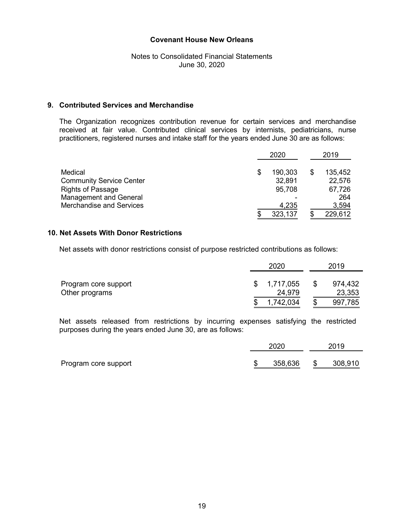Notes to Consolidated Financial Statements June 30, 2020

## **9. Contributed Services and Merchandise**

The Organization recognizes contribution revenue for certain services and merchandise received at fair value. Contributed clinical services by internists, pediatricians, nurse practitioners, registered nurses and intake staff for the years ended June 30 are as follows:

|                                 |   | 2020    | 2019          |
|---------------------------------|---|---------|---------------|
| Medical                         | S | 190,303 | \$<br>135,452 |
| <b>Community Service Center</b> |   | 32,891  | 22,576        |
| <b>Rights of Passage</b>        |   | 95,708  | 67,726        |
| <b>Management and General</b>   |   |         | 264           |
| Merchandise and Services        |   | 4,235   | 3,594         |
|                                 |   | 323,137 | 229,612       |

## **10. Net Assets With Donor Restrictions**

Net assets with donor restrictions consist of purpose restricted contributions as follows:

|                                        | 2020 |                     | 2019              |  |
|----------------------------------------|------|---------------------|-------------------|--|
| Program core support<br>Other programs |      | 1,717,055<br>24,979 | 974,432<br>23,353 |  |
|                                        |      | 1,742,034           | 997,785           |  |

Net assets released from restrictions by incurring expenses satisfying the restricted purposes during the years ended June 30, are as follows:

|                      | 2020 |         | 2019    |  |
|----------------------|------|---------|---------|--|
| Program core support |      | 358,636 | 308,910 |  |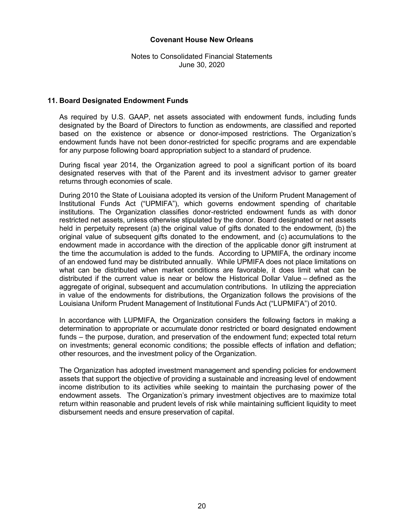Notes to Consolidated Financial Statements June 30, 2020

## **11. Board Designated Endowment Funds**

As required by U.S. GAAP, net assets associated with endowment funds, including funds designated by the Board of Directors to function as endowments, are classified and reported based on the existence or absence or donor-imposed restrictions. The Organization's endowment funds have not been donor-restricted for specific programs and are expendable for any purpose following board appropriation subject to a standard of prudence.

During fiscal year 2014, the Organization agreed to pool a significant portion of its board designated reserves with that of the Parent and its investment advisor to garner greater returns through economies of scale.

During 2010 the State of Louisiana adopted its version of the Uniform Prudent Management of Institutional Funds Act ("UPMIFA"), which governs endowment spending of charitable institutions. The Organization classifies donor-restricted endowment funds as with donor restricted net assets, unless otherwise stipulated by the donor. Board designated or net assets held in perpetuity represent (a) the original value of gifts donated to the endowment, (b) the original value of subsequent gifts donated to the endowment, and (c) accumulations to the endowment made in accordance with the direction of the applicable donor gift instrument at the time the accumulation is added to the funds. According to UPMIFA, the ordinary income of an endowed fund may be distributed annually. While UPMIFA does not place limitations on what can be distributed when market conditions are favorable, it does limit what can be distributed if the current value is near or below the Historical Dollar Value – defined as the aggregate of original, subsequent and accumulation contributions. In utilizing the appreciation in value of the endowments for distributions, the Organization follows the provisions of the Louisiana Uniform Prudent Management of Institutional Funds Act ("LUPMIFA") of 2010.

In accordance with LUPMIFA, the Organization considers the following factors in making a determination to appropriate or accumulate donor restricted or board designated endowment funds – the purpose, duration, and preservation of the endowment fund; expected total return on investments; general economic conditions; the possible effects of inflation and deflation; other resources, and the investment policy of the Organization.

The Organization has adopted investment management and spending policies for endowment assets that support the objective of providing a sustainable and increasing level of endowment income distribution to its activities while seeking to maintain the purchasing power of the endowment assets. The Organization's primary investment objectives are to maximize total return within reasonable and prudent levels of risk while maintaining sufficient liquidity to meet disbursement needs and ensure preservation of capital.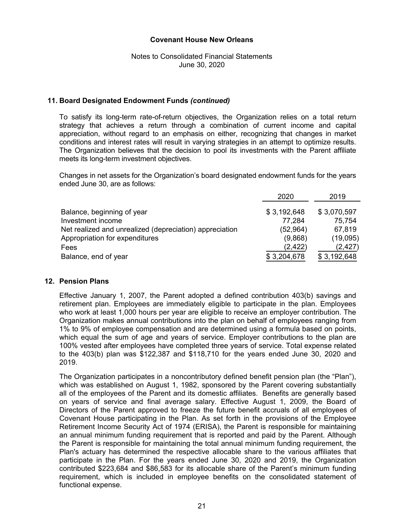# Notes to Consolidated Financial Statements June 30, 2020

# **11. Board Designated Endowment Funds** *(continued)*

To satisfy its long-term rate-of-return objectives, the Organization relies on a total return strategy that achieves a return through a combination of current income and capital appreciation, without regard to an emphasis on either, recognizing that changes in market conditions and interest rates will result in varying strategies in an attempt to optimize results. The Organization believes that the decision to pool its investments with the Parent affiliate meets its long-term investment objectives.

Changes in net assets for the Organization's board designated endowment funds for the years ended June 30, are as follows:

|                                                         | 2020        | 2019        |
|---------------------------------------------------------|-------------|-------------|
| Balance, beginning of year                              | \$3,192,648 | \$3,070,597 |
| Investment income                                       | 77,284      | 75,754      |
| Net realized and unrealized (depreciation) appreciation | (52, 964)   | 67,819      |
| Appropriation for expenditures                          | (9,868)     | (19,095)    |
| Fees                                                    | (2, 422)    | (2, 427)    |
| Balance, end of year                                    | \$3,204,678 | \$3,192,648 |

## **12. Pension Plans**

Effective January 1, 2007, the Parent adopted a defined contribution 403(b) savings and retirement plan. Employees are immediately eligible to participate in the plan. Employees who work at least 1,000 hours per year are eligible to receive an employer contribution. The Organization makes annual contributions into the plan on behalf of employees ranging from 1% to 9% of employee compensation and are determined using a formula based on points, which equal the sum of age and years of service. Employer contributions to the plan are 100% vested after employees have completed three years of service. Total expense related to the 403(b) plan was \$122,387 and \$118,710 for the years ended June 30, 2020 and 2019.

The Organization participates in a noncontributory defined benefit pension plan (the "Plan"), which was established on August 1, 1982, sponsored by the Parent covering substantially all of the employees of the Parent and its domestic affiliates. Benefits are generally based on years of service and final average salary. Effective August 1, 2009, the Board of Directors of the Parent approved to freeze the future benefit accruals of all employees of Covenant House participating in the Plan. As set forth in the provisions of the Employee Retirement Income Security Act of 1974 (ERISA), the Parent is responsible for maintaining an annual minimum funding requirement that is reported and paid by the Parent. Although the Parent is responsible for maintaining the total annual minimum funding requirement, the Plan's actuary has determined the respective allocable share to the various affiliates that participate in the Plan. For the years ended June 30, 2020 and 2019, the Organization contributed \$223,684 and \$86,583 for its allocable share of the Parent's minimum funding requirement, which is included in employee benefits on the consolidated statement of functional expense.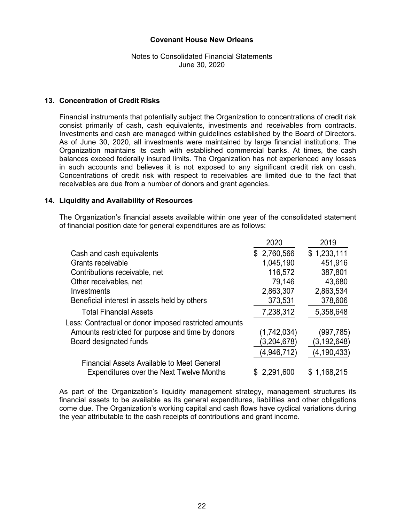Notes to Consolidated Financial Statements June 30, 2020

## **13. Concentration of Credit Risks**

Financial instruments that potentially subject the Organization to concentrations of credit risk consist primarily of cash, cash equivalents, investments and receivables from contracts. Investments and cash are managed within guidelines established by the Board of Directors. As of June 30, 2020, all investments were maintained by large financial institutions. The Organization maintains its cash with established commercial banks. At times, the cash balances exceed federally insured limits. The Organization has not experienced any losses in such accounts and believes it is not exposed to any significant credit risk on cash. Concentrations of credit risk with respect to receivables are limited due to the fact that receivables are due from a number of donors and grant agencies.

## **14. Liquidity and Availability of Resources**

The Organization's financial assets available within one year of the consolidated statement of financial position date for general expenditures are as follows:

|                                                       | 2020        | 2019          |
|-------------------------------------------------------|-------------|---------------|
| Cash and cash equivalents                             | \$2,760,566 | \$1,233,111   |
| Grants receivable                                     | 1,045,190   | 451,916       |
| Contributions receivable, net                         | 116,572     | 387,801       |
| Other receivables, net                                | 79,146      | 43,680        |
| Investments                                           | 2,863,307   | 2,863,534     |
| Beneficial interest in assets held by others          | 373,531     | 378,606       |
| <b>Total Financial Assets</b>                         | 7,238,312   | 5,358,648     |
| Less: Contractual or donor imposed restricted amounts |             |               |
| Amounts restricted for purpose and time by donors     | (1,742,034) | (997,785)     |
| Board designated funds                                | (3,204,678) | (3, 192, 648) |
|                                                       | (4,946,712) | (4, 190, 433) |
| <b>Financial Assets Available to Meet General</b>     |             |               |
| <b>Expenditures over the Next Twelve Months</b>       | \$2,291,600 | \$1,168,215   |

As part of the Organization's liquidity management strategy, management structures its financial assets to be available as its general expenditures, liabilities and other obligations come due. The Organization's working capital and cash flows have cyclical variations during the year attributable to the cash receipts of contributions and grant income.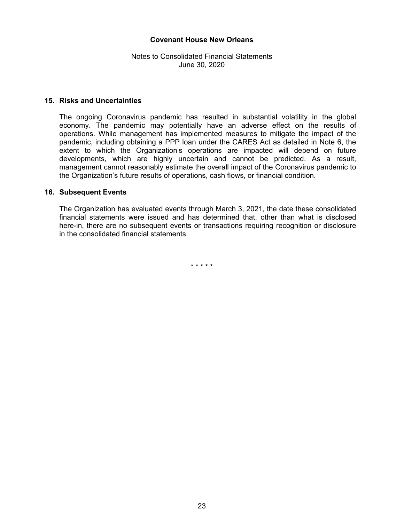Notes to Consolidated Financial Statements June 30, 2020

## **15. Risks and Uncertainties**

The ongoing Coronavirus pandemic has resulted in substantial volatility in the global economy. The pandemic may potentially have an adverse effect on the results of operations. While management has implemented measures to mitigate the impact of the pandemic, including obtaining a PPP loan under the CARES Act as detailed in Note 6, the extent to which the Organization's operations are impacted will depend on future developments, which are highly uncertain and cannot be predicted. As a result, management cannot reasonably estimate the overall impact of the Coronavirus pandemic to the Organization's future results of operations, cash flows, or financial condition.

## **16. Subsequent Events**

The Organization has evaluated events through March 3, 2021, the date these consolidated financial statements were issued and has determined that, other than what is disclosed here-in, there are no subsequent events or transactions requiring recognition or disclosure in the consolidated financial statements.

\* \* \* \* \*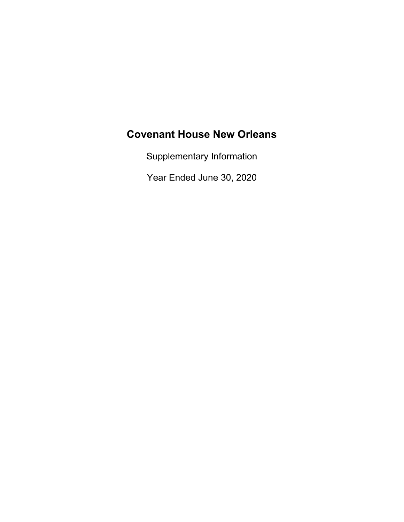Supplementary Information

Year Ended June 30, 2020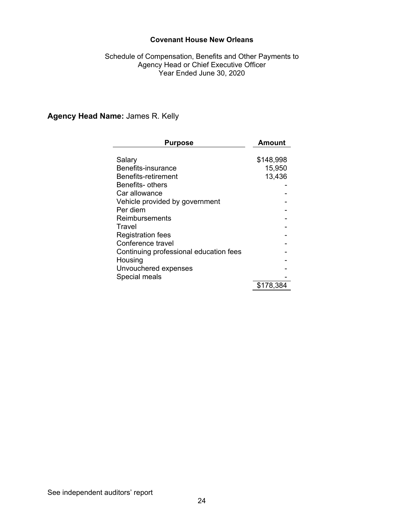# Schedule of Compensation, Benefits and Other Payments to Agency Head or Chief Executive Officer Year Ended June 30, 2020

# **Agency Head Name:** James R. Kelly

| <b>Purpose</b>                         | Amount    |
|----------------------------------------|-----------|
|                                        |           |
| Salary                                 | \$148,998 |
| Benefits-insurance                     | 15,950    |
| Benefits-retirement                    | 13,436    |
| Benefits- others                       |           |
| Car allowance                          |           |
| Vehicle provided by government         |           |
| Per diem                               |           |
| Reimbursements                         |           |
| Travel                                 |           |
| <b>Registration fees</b>               |           |
| Conference travel                      |           |
| Continuing professional education fees |           |
| Housing                                |           |
| Unvouchered expenses                   |           |
| Special meals                          |           |
|                                        | \$178,384 |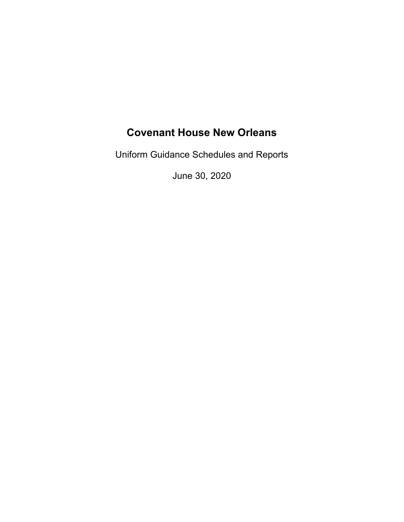Uniform Guidance Schedules and Reports

June 30, 2020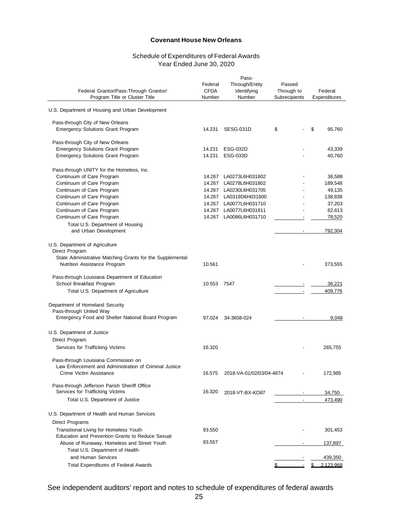#### **Covenant House New Orleans Covenant House New Orleans**

# Schedule of Expenditures of Federal Awards Schedule of Expenditures of Federal Awards Year Ended June 30, 2018 Year Ended June 30, 2020

|                                                                         | Pass-                 |                          |                             |                         |
|-------------------------------------------------------------------------|-----------------------|--------------------------|-----------------------------|-------------------------|
|                                                                         | Federal               | Through/Entity           | Passed                      |                         |
| Federal Grantor/Pass-Through Grantor/<br>Program Title or Cluster Title | <b>CFDA</b><br>Number | Identifying<br>Number    | Through to<br>Subrecipients | Federal<br>Expenditures |
|                                                                         |                       |                          |                             |                         |
| U.S. Department of Housing and Urban Development                        |                       |                          |                             |                         |
| Pass-through City of New Orleans                                        |                       |                          |                             |                         |
| <b>Emergency Solutions Grant Program</b>                                | 14.231                | SESG-031D                | \$                          | \$<br>95,760            |
| Pass-through City of New Orleans                                        |                       |                          |                             |                         |
| <b>Emergency Solutions Grant Program</b>                                | 14.231                | <b>ESG-032D</b>          |                             | 43,339                  |
| <b>Emergency Solutions Grant Program</b>                                | 14.231                | ESG-033D                 |                             | 40,760                  |
| Pass-through UNITY for the Homeless, Inc.                               |                       |                          |                             |                         |
| Continuum of Care Program                                               |                       | 14.267 LA0273L6H031802   |                             | 36,588                  |
| Continuum of Care Program                                               |                       | 14.267 LA0278L6H031802   |                             | 189,548                 |
| Continuum of Care Program                                               |                       | 14.267 LA0230L6H031705   |                             | 49,135                  |
| Continuum of Care Program                                               |                       | 14.267 LA0319D6H031800   |                             | 138,838                 |
| Continuum of Care Program                                               |                       | 14.267 LA0077L6H031710   | $\overline{\phantom{a}}$    | 37,203                  |
| Continuum of Care Program                                               |                       | 14.267 LA0077L6H031811   |                             | 82,613                  |
| Continuum of Care Program                                               |                       | 14.267 LA0086L6H031710   |                             | 78,520                  |
| Total U.S. Department of Housing                                        |                       |                          |                             |                         |
| and Urban Development                                                   |                       |                          | $\overline{\phantom{a}}$    | 792,304                 |
| U.S. Department of Agriculture                                          |                       |                          |                             |                         |
| Direct Program                                                          |                       |                          |                             |                         |
| State Administrative Matching Grants for the Supplemental               |                       |                          |                             |                         |
| Nutrition Assistance Program                                            | 10.561                |                          |                             | 373,555                 |
| Pass-through Louisiana Department of Education                          |                       |                          |                             |                         |
| School Breakfast Program                                                | 10.553 7547           |                          |                             | 36,221                  |
| Total U.S. Department of Agriculture                                    |                       |                          | $\overline{\phantom{a}}$    | 409,776                 |
| Department of Homeland Security                                         |                       |                          |                             |                         |
| Pass-through United Way                                                 |                       |                          |                             |                         |
| Emergency Food and Shelter National Board Program                       | 97.024                | 34-3658-024              |                             | 9,048                   |
| U.S. Department of Justice                                              |                       |                          |                             |                         |
| Direct Program                                                          |                       |                          |                             |                         |
| Services for Trafficking Victims                                        | 16.320                |                          |                             | 265,755                 |
| Pass-through Louisiana Commission on                                    |                       |                          |                             |                         |
| Law Enforcement and Administration of Criminal Justice                  |                       |                          |                             |                         |
| Crime Victim Assistance                                                 | 16.575                | 2018-VA-01/02/03/04-4874 |                             | 172,985                 |
| Pass-through Jefferson Parish Sheriff Office                            |                       |                          |                             |                         |
| Services for Trafficking Victims                                        | 16.320                | 2018-VT-BX-KO87          |                             | 34,750                  |
| Total U.S. Department of Justice                                        |                       |                          |                             | 473,490                 |
| U.S. Department of Health and Human Services                            |                       |                          |                             |                         |
| Direct Programs                                                         |                       |                          |                             |                         |
| Transitional Living for Homeless Youth                                  | 93.550                |                          |                             | 301,453                 |
| Education and Prevention Grants to Reduce Sexual                        |                       |                          |                             |                         |
| Abuse of Runaway, Homeless and Street Youth                             | 93.557                |                          |                             | 137,897                 |
| Total U.S. Department of Health                                         |                       |                          |                             |                         |
| and Human Services                                                      |                       |                          |                             | 439,350                 |
| <b>Total Expenditures of Federal Awards</b>                             |                       |                          | \$                          | \$<br>2.123.968         |

See independent auditors' report and notes to schedule of expenditures of federal awards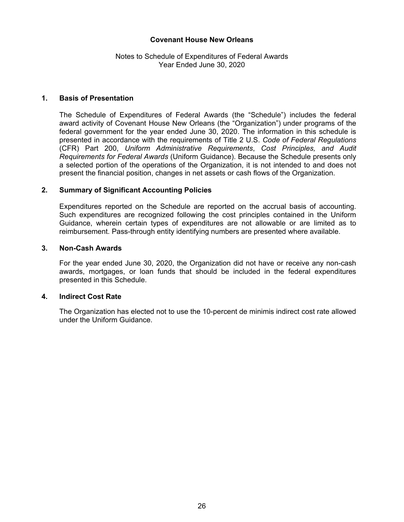## Notes to Schedule of Expenditures of Federal Awards Year Ended June 30, 2020

## **1. Basis of Presentation**

The Schedule of Expenditures of Federal Awards (the "Schedule") includes the federal award activity of Covenant House New Orleans (the "Organization") under programs of the federal government for the year ended June 30, 2020. The information in this schedule is presented in accordance with the requirements of Title 2 U.S. *Code of Federal Regulations* (CFR) Part 200, *Uniform Administrative Requirements*, *Cost Principles, and Audit Requirements for Federal Awards* (Uniform Guidance). Because the Schedule presents only a selected portion of the operations of the Organization, it is not intended to and does not present the financial position, changes in net assets or cash flows of the Organization.

## **2. Summary of Significant Accounting Policies**

Expenditures reported on the Schedule are reported on the accrual basis of accounting. Such expenditures are recognized following the cost principles contained in the Uniform Guidance, wherein certain types of expenditures are not allowable or are limited as to reimbursement. Pass-through entity identifying numbers are presented where available.

#### **3. Non-Cash Awards**

For the year ended June 30, 2020, the Organization did not have or receive any non-cash awards, mortgages, or loan funds that should be included in the federal expenditures presented in this Schedule.

## **4. Indirect Cost Rate**

The Organization has elected not to use the 10-percent de minimis indirect cost rate allowed under the Uniform Guidance.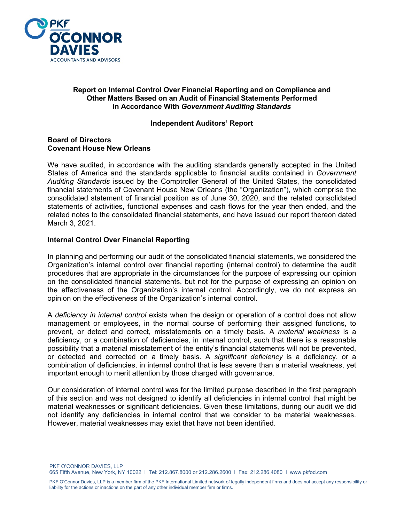

# **Report on Internal Control Over Financial Reporting and on Compliance and Other Matters Based on an Audit of Financial Statements Performed in Accordance With** *Government Auditing Standards*

## **Independent Auditors' Report**

## **Board of Directors Covenant House New Orleans**

We have audited, in accordance with the auditing standards generally accepted in the United States of America and the standards applicable to financial audits contained in *Government Auditing Standards* issued by the Comptroller General of the United States, the consolidated financial statements of Covenant House New Orleans (the "Organization"), which comprise the consolidated statement of financial position as of June 30, 2020, and the related consolidated statements of activities, functional expenses and cash flows for the year then ended, and the related notes to the consolidated financial statements, and have issued our report thereon dated March 3, 2021.

## **Internal Control Over Financial Reporting**

In planning and performing our audit of the consolidated financial statements, we considered the Organization's internal control over financial reporting (internal control) to determine the audit procedures that are appropriate in the circumstances for the purpose of expressing our opinion on the consolidated financial statements, but not for the purpose of expressing an opinion on the effectiveness of the Organization's internal control. Accordingly, we do not express an opinion on the effectiveness of the Organization's internal control.

A *deficiency in internal control* exists when the design or operation of a control does not allow management or employees, in the normal course of performing their assigned functions, to prevent, or detect and correct, misstatements on a timely basis. A *material weakness* is a deficiency, or a combination of deficiencies, in internal control, such that there is a reasonable possibility that a material misstatement of the entity's financial statements will not be prevented, or detected and corrected on a timely basis. A *significant deficiency* is a deficiency, or a combination of deficiencies, in internal control that is less severe than a material weakness, yet important enough to merit attention by those charged with governance.

Our consideration of internal control was for the limited purpose described in the first paragraph of this section and was not designed to identify all deficiencies in internal control that might be material weaknesses or significant deficiencies. Given these limitations, during our audit we did not identify any deficiencies in internal control that we consider to be material weaknesses. However, material weaknesses may exist that have not been identified.

PKF O'CONNOR DAVIES, LLP 665 Fifth Avenue, New York, NY 10022 I Tel: 212.867.8000 or 212.286.2600 I Fax: 212.286.4080 I www.pkfod.com

PKF O'Connor Davies, LLP is a member firm of the PKF International Limited network of legally independent firms and does not accept any responsibility or liability for the actions or inactions on the part of any other individual member firm or firms.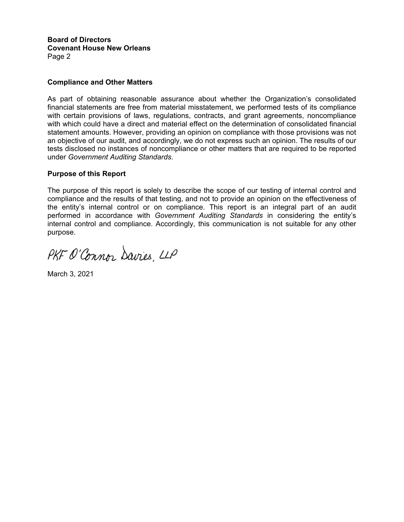#### **Board of Directors Covenant House New Orleans**  Page 2

## **Compliance and Other Matters**

As part of obtaining reasonable assurance about whether the Organization's consolidated financial statements are free from material misstatement, we performed tests of its compliance with certain provisions of laws, regulations, contracts, and grant agreements, noncompliance with which could have a direct and material effect on the determination of consolidated financial statement amounts. However, providing an opinion on compliance with those provisions was not an objective of our audit, and accordingly, we do not express such an opinion. The results of our tests disclosed no instances of noncompliance or other matters that are required to be reported under *Government Auditing Standards*.

## **Purpose of this Report**

The purpose of this report is solely to describe the scope of our testing of internal control and compliance and the results of that testing, and not to provide an opinion on the effectiveness of the entity's internal control or on compliance. This report is an integral part of an audit performed in accordance with *Government Auditing Standards* in considering the entity's internal control and compliance. Accordingly, this communication is not suitable for any other purpose.

PKF O'Connor Davies, LLP

March 3, 2021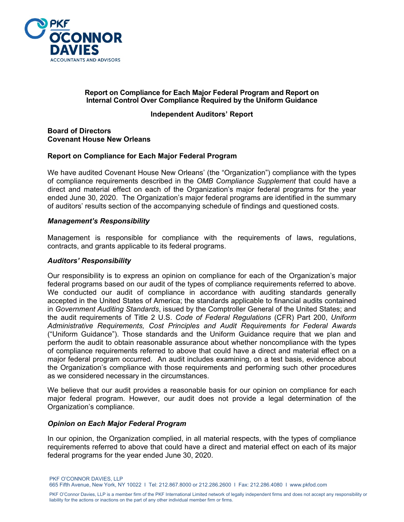

## **Report on Compliance for Each Major Federal Program and Report on Internal Control Over Compliance Required by the Uniform Guidance**

**Independent Auditors' Report** 

### **Board of Directors Covenant House New Orleans**

# **Report on Compliance for Each Major Federal Program**

We have audited Covenant House New Orleans' (the "Organization") compliance with the types of compliance requirements described in the *OMB Compliance Supplement* that could have a direct and material effect on each of the Organization's major federal programs for the year ended June 30, 2020. The Organization's major federal programs are identified in the summary of auditors' results section of the accompanying schedule of findings and questioned costs.

## *Management's Responsibility*

Management is responsible for compliance with the requirements of laws, regulations, contracts, and grants applicable to its federal programs.

## *Auditors' Responsibility*

Our responsibility is to express an opinion on compliance for each of the Organization's major federal programs based on our audit of the types of compliance requirements referred to above. We conducted our audit of compliance in accordance with auditing standards generally accepted in the United States of America; the standards applicable to financial audits contained in *Government Auditing Standards*, issued by the Comptroller General of the United States; and the audit requirements of Title 2 U.S. *Code of Federal Regulations* (CFR) Part 200, *Uniform Administrative Requirements, Cost Principles and Audit Requirements for Federal Awards* ("Uniform Guidance"). Those standards and the Uniform Guidance require that we plan and perform the audit to obtain reasonable assurance about whether noncompliance with the types of compliance requirements referred to above that could have a direct and material effect on a major federal program occurred. An audit includes examining, on a test basis, evidence about the Organization's compliance with those requirements and performing such other procedures as we considered necessary in the circumstances.

We believe that our audit provides a reasonable basis for our opinion on compliance for each major federal program. However, our audit does not provide a legal determination of the Organization's compliance.

## *Opinion on Each Major Federal Program*

In our opinion, the Organization complied, in all material respects, with the types of compliance requirements referred to above that could have a direct and material effect on each of its major federal programs for the year ended June 30, 2020.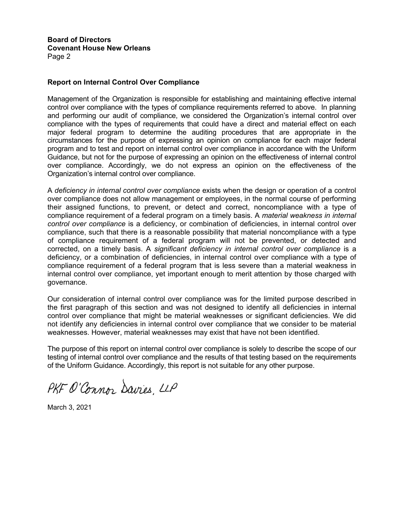#### **Board of Directors Covenant House New Orleans**  Page 2

#### **Report on Internal Control Over Compliance**

Management of the Organization is responsible for establishing and maintaining effective internal control over compliance with the types of compliance requirements referred to above. In planning and performing our audit of compliance, we considered the Organization's internal control over compliance with the types of requirements that could have a direct and material effect on each major federal program to determine the auditing procedures that are appropriate in the circumstances for the purpose of expressing an opinion on compliance for each major federal program and to test and report on internal control over compliance in accordance with the Uniform Guidance, but not for the purpose of expressing an opinion on the effectiveness of internal control over compliance. Accordingly, we do not express an opinion on the effectiveness of the Organization's internal control over compliance.

A *deficiency in internal control over compliance* exists when the design or operation of a control over compliance does not allow management or employees, in the normal course of performing their assigned functions, to prevent, or detect and correct, noncompliance with a type of compliance requirement of a federal program on a timely basis. A *material weakness in internal control over compliance* is a deficiency, or combination of deficiencies, in internal control over compliance, such that there is a reasonable possibility that material noncompliance with a type of compliance requirement of a federal program will not be prevented, or detected and corrected, on a timely basis. A *significant deficiency in internal control over compliance* is a deficiency, or a combination of deficiencies, in internal control over compliance with a type of compliance requirement of a federal program that is less severe than a material weakness in internal control over compliance, yet important enough to merit attention by those charged with governance.

Our consideration of internal control over compliance was for the limited purpose described in the first paragraph of this section and was not designed to identify all deficiencies in internal control over compliance that might be material weaknesses or significant deficiencies. We did not identify any deficiencies in internal control over compliance that we consider to be material weaknesses. However, material weaknesses may exist that have not been identified.

The purpose of this report on internal control over compliance is solely to describe the scope of our testing of internal control over compliance and the results of that testing based on the requirements of the Uniform Guidance. Accordingly, this report is not suitable for any other purpose.

PKF O'Connor Davies, LLP

March 3, 2021